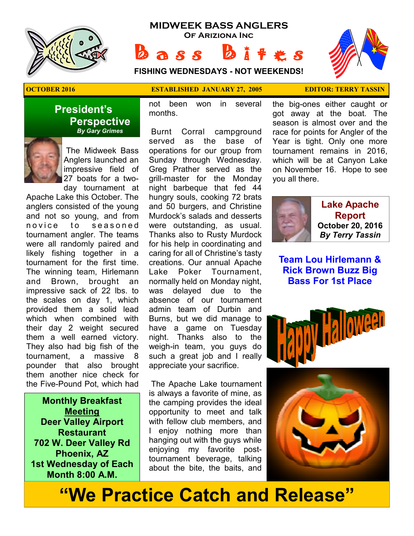

#### **MIDWEEK BASS ANGLERS Of Ariziona Inc**

 $A S S$ 

**FISHING WEDNESDAYS - NOT WEEKENDS!**



#### **OCTOBER 2016 ESTABLISHED JANUARY 27, 2005 EDITOR: TERRY TASSIN**

not been won in several months.

 Burnt Corral campground served as the base of operations for our group from Sunday through Wednesday. Greg Prather served as the grill-master for the Monday night barbeque that fed 44 hungry souls, cooking 72 brats and 50 burgers, and Christine Murdock's salads and desserts were outstanding, as usual. Thanks also to Rusty Murdock for his help in coordinating and caring for all of Christine's tasty creations. Our annual Apache Lake Poker Tournament, normally held on Monday night, was delayed due to the absence of our tournament admin team of Durbin and Burns, but we did manage to have a game on Tuesday night. Thanks also to the weigh-in team, you guys do such a great job and I really appreciate your sacrifice.

 The Apache Lake tournament is always a favorite of mine, as the camping provides the ideal opportunity to meet and talk with fellow club members, and I enjoy nothing more than hanging out with the guys while enjoying my favorite posttournament beverage, talking about the bite, the baits, and

the big-ones either caught or got away at the boat. The season is almost over and the race for points for Angler of the Year is tight. Only one more tournament remains in 2016, which will be at Canyon Lake on November 16. Hope to see you all there.



**Lake Apache Report October 20, 2016**  *By Terry Tassin* 

**Team Lou Hirlemann & Rick Brown Buzz Big Bass For 1st Place**



## **"We Practice Catch and Release"**

 The Midweek Bass Anglers launched an impressive field of 27 boats for a two-

 **Perspective**   *By Gary Grimes*

**President's** 

day tournament at Apache Lake this October. The anglers consisted of the young and not so young, and from novice to seasoned tournament angler. The teams were all randomly paired and likely fishing together in a tournament for the first time. The winning team, Hirlemann and Brown, brought an impressive sack of 22 lbs. to the scales on day 1, which provided them a solid lead which when combined with their day 2 weight secured them a well earned victory. They also had big fish of the tournament, a massive 8 pounder that also brought them another nice check for the Five-Pound Pot, which had

**Monthly Breakfast Meeting Deer Valley Airport Restaurant 702 W. Deer Valley Rd Phoenix, AZ 1st Wednesday of Each Month 8:00 A.M.**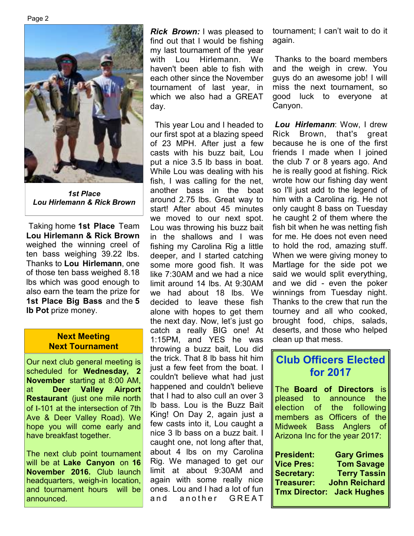Page 2



*1st Place Lou Hirlemann & Rick Brown* 

 Taking home **1st Place** Team **Lou Hirlemann & Rick Brown**  weighed the winning creel of ten bass weighing 39.22 lbs. Thanks to **Lou Hirlemann**, one of those ten bass weighed 8.18 lbs which was good enough to also earn the team the prize for **1st Place Big Bass** and the **5 lb Pot** prize money.

#### **Next Meeting Next Tournament**

Our next club general meeting is scheduled for **Wednesday, 2 November** starting at 8:00 AM, at **Deer Valley Airport Restaurant** (just one mile north of I-101 at the intersection of 7th Ave & Deer Valley Road). We hope you will come early and have breakfast together.

The next club point tournament will be at **Lake Canyon** on **16 November 2016.** Club launch headquarters, weigh-in location, and tournament hours will be announced.

*Rick Brown:* I was pleased to find out that I would be fishing my last tournament of the year with Lou Hirlemann. We haven't been able to fish with each other since the November tournament of last year, in which we also had a GREAT day.

 This year Lou and I headed to our first spot at a blazing speed of 23 MPH. After just a few casts with his buzz bait, Lou put a nice 3.5 lb bass in boat. While Lou was dealing with his fish, I was calling for the net, another bass in the boat around 2.75 lbs. Great way to start! After about 45 minutes we moved to our next spot. Lou was throwing his buzz bait in the shallows and I was fishing my Carolina Rig a little deeper, and I started catching some more good fish. It was like 7:30AM and we had a nice limit around 14 lbs. At 9:30AM we had about 18 lbs. We decided to leave these fish alone with hopes to get them the next day. Now, let's just go catch a really BIG one! At 1:15PM, and YES he was throwing a buzz bait, Lou did the trick. That 8 lb bass hit him just a few feet from the boat. I couldn't believe what had just happened and couldn't believe that I had to also cull an over 3 lb bass. Lou is the Buzz Bait King! On Day 2, again just a few casts into it, Lou caught a nice 3 lb bass on a buzz bait. I caught one, not long after that, about 4 lbs on my Carolina Rig. We managed to get our limit at about 9:30AM and again with some really nice ones. Lou and I had a lot of fun and another GREAT

tournament; I can't wait to do it again.

 Thanks to the board members and the weigh in crew. You guys do an awesome job! I will miss the next tournament, so good luck to everyone at Canyon.

*Lou Hirlemann*: Wow, I drew Rick Brown, that's great because he is one of the first friends I made when I joined the club 7 or 8 years ago. And he is really good at fishing. Rick wrote how our fishing day went so I'll just add to the legend of him with a Carolina rig. He not only caught 8 bass on Tuesday he caught 2 of them where the fish bit when he was netting fish for me. He does not even need to hold the rod, amazing stuff. When we were giving money to Martlage for the side pot we said we would split everything, and we did - even the poker winnings from Tuesday night. Thanks to the crew that run the tourney and all who cooked, brought food, chips, salads, deserts, and those who helped clean up that mess.

## **Club Officers Elected for 2017**

The **Board of Directors** is announce the election of the following members as Officers of the Midweek Bass Anglers of Arizona Inc for the year 2017:

| <b>President:</b> | <b>Gary Grimes</b>               |
|-------------------|----------------------------------|
| <b>Vice Pres:</b> | <b>Tom Savage</b>                |
| <b>Secretary:</b> | <b>Terry Tassin</b>              |
| <b>Treasurer:</b> | <b>John Reichard</b>             |
|                   | <b>Tmx Director: Jack Hughes</b> |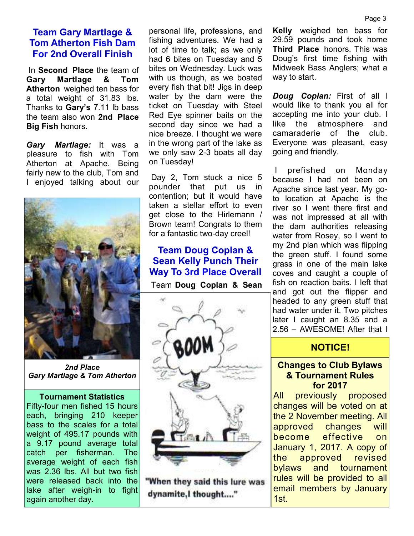#### **Team Gary Martlage & Tom Atherton Fish Dam For 2nd Overall Finish**

 In **Second Place** the team of **Gary Martlage & Tom Atherton** weighed ten bass for a total weight of 31.83 lbs. Thanks to **Gary's** 7.11 lb bass the team also won **2nd Place Big Fish** honors.

*Gary Martlage:* It was a pleasure to fish with Tom Atherton at Apache. Being fairly new to the club, Tom and I enjoyed talking about our



*2nd Place Gary Martlage & Tom Atherton* 

#### **Tournament Statistics**

Fifty-four men fished 15 hours each, bringing 210 keeper bass to the scales for a total weight of 495.17 pounds with a 9.17 pound average total catch per fisherman. The average weight of each fish was 2.36 lbs. All but two fish were released back into the lake after weigh-in to fight again another day.

personal life, professions, and fishing adventures. We had a lot of time to talk; as we only had 6 bites on Tuesday and 5 bites on Wednesday. Luck was with us though, as we boated every fish that bit! Jigs in deep water by the dam were the ticket on Tuesday with Steel Red Eye spinner baits on the second day since we had a nice breeze. I thought we were in the wrong part of the lake as we only saw 2-3 boats all day on Tuesday!

 Day 2, Tom stuck a nice 5 pounder that put us in contention; but it would have taken a stellar effort to even get close to the Hirlemann / Brown team! Congrats to them for a fantastic two-day creel!

#### **Team Doug Coplan & Sean Kelly Punch Their Way To 3rd Place Overall**

Team **Doug Coplan & Sean** 



"When they said this lure was dynamite,I thought...."

**Kelly** weighed ten bass for 29.59 pounds and took home **Third Place** honors. This was Doug's first time fishing with Midweek Bass Anglers; what a way to start.

*Doug Coplan:* First of all I would like to thank you all for accepting me into your club. I like the atmosphere and camaraderie of the club. Everyone was pleasant, easy going and friendly.

 I prefished on Monday because I had not been on Apache since last year. My goto location at Apache is the river so I went there first and was not impressed at all with the dam authorities releasing water from Rosey, so I went to my 2nd plan which was flipping the green stuff. I found some grass in one of the main lake coves and caught a couple of fish on reaction baits. I left that and got out the flipper and headed to any green stuff that had water under it. Two pitches later I caught an 8.35 and a 2.56 – AWESOME! After that I

#### **NOTICE!**

#### **Changes to Club Bylaws & Tournament Rules for 2017**

All previously proposed changes will be voted on at the 2 November meeting. All approved changes will become effective on January 1, 2017. A copy of the approved revised bylaws and tournament rules will be provided to all email members by January 1st.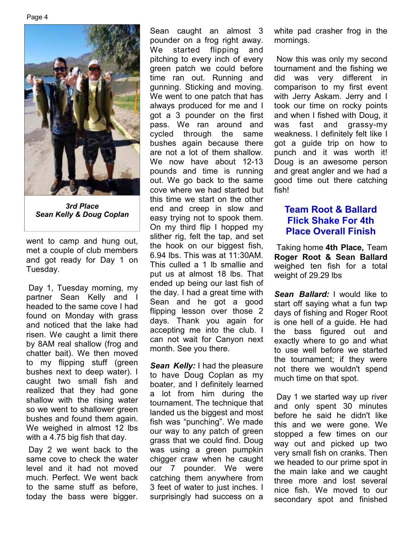

*3rd Place Sean Kelly & Doug Coplan* 

went to camp and hung out, met a couple of club members and got ready for Day 1 on Tuesday.

 Day 1, Tuesday morning, my partner Sean Kelly and I headed to the same cove I had found on Monday with grass and noticed that the lake had risen. We caught a limit there by 8AM real shallow (frog and chatter bait). We then moved to my flipping stuff (green bushes next to deep water). I caught two small fish and realized that they had gone shallow with the rising water so we went to shallower green bushes and found them again. We weighed in almost 12 lbs with a 4.75 big fish that day.

 Day 2 we went back to the same cove to check the water level and it had not moved much. Perfect. We went back to the same stuff as before, today the bass were bigger.

Sean caught an almost 3 pounder on a frog right away. We started flipping and pitching to every inch of every green patch we could before time ran out. Running and gunning. Sticking and moving. We went to one patch that has always produced for me and I got a 3 pounder on the first pass. We ran around and cycled through the same bushes again because there are not a lot of them shallow. We now have about 12-13 pounds and time is running out. We go back to the same cove where we had started but this time we start on the other end and creep in slow and easy trying not to spook them. On my third flip I hopped my slither rig, felt the tap, and set the hook on our biggest fish, 6.94 lbs. This was at 11:30AM. This culled a 1 lb smallie and put us at almost 18 lbs. That ended up being our last fish of the day. I had a great time with Sean and he got a good flipping lesson over those 2 days. Thank you again for accepting me into the club. I can not wait for Canyon next month. See you there.

**Sean Kelly:** I had the pleasure to have Doug Coplan as my boater, and I definitely learned a lot from him during the tournament. The technique that landed us the biggest and most fish was "punching". We made our way to any patch of green grass that we could find. Doug was using a green pumpkin chigger craw when he caught our 7 pounder. We were catching them anywhere from 3 feet of water to just inches. I surprisingly had success on a white pad crasher frog in the mornings.

 Now this was only my second tournament and the fishing we did was very different in comparison to my first event with Jerry Askam. Jerry and I took our time on rocky points and when I fished with Doug, it was fast and grassy-my weakness. I definitely felt like I got a guide trip on how to punch and it was worth it! Doug is an awesome person and great angler and we had a good time out there catching fish!

### **Team Root & Ballard Flick Shake For 4th Place Overall Finish**

 Taking home **4th Place,** Team **Roger Root & Sean Ballard**  weighed ten fish for a total weight of 29.29 lbs

*Sean Ballard:* I would like to start off saying what a fun twp days of fishing and Roger Root is one hell of a guide. He had the bass figured out and exactly where to go and what to use well before we started the tournament; if they were not there we wouldn't spend much time on that spot.

 Day 1 we started way up river and only spent 30 minutes before he said he didn't like this and we were gone. We stopped a few times on our way out and picked up two very small fish on cranks. Then we headed to our prime spot in the main lake and we caught three more and lost several nice fish. We moved to our secondary spot and finished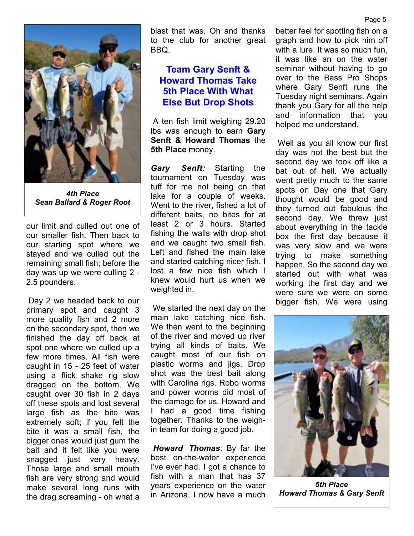

*4th Place Sean Ballard & Roger Root* 

our limit and culled out one of our smaller fish. Then back to our starting spot where we stayed and we culled out the remaining small fish; before the day was up we were culling 2 - 2.5 pounders.

 Day 2 we headed back to our primary spot and caught 3 more quality fish and 2 more on the secondary spot, then we finished the day off back at spot one where we culled up a few more times. All fish were caught in 15 - 25 feet of water using a flick shake rig slow dragged on the bottom. We caught over 30 fish in 2 days off these spots and lost several large fish as the bite was extremely soft; if you felt the bite it was a small fish, the bigger ones would just gum the bait and it felt like you were snagged just very heavy. Those large and small mouth fish are very strong and would make several long runs with the drag screaming - oh what a blast that was. Oh and thanks to the club for another great BBQ.

### **Team Gary Senft & Howard Thomas Take 5th Place With What Else But Drop Shots**

 A ten fish limit weighing 29.20 lbs was enough to earn **Gary Senft & Howard Thomas** the **5th Place** money.

*Gary Senft:* Starting the tournament on Tuesday was tuff for me not being on that lake for a couple of weeks. Went to the river, fished a lot of different baits, no bites for at least 2 or 3 hours. Started fishing the walls with drop shot and we caught two small fish. Left and fished the main lake and started catching nicer fish. I lost a few nice fish which I knew would hurt us when we weighted in.

 We started the next day on the main lake catching nice fish. We then went to the beginning of the river and moved up river trying all kinds of baits. We caught most of our fish on plastic worms and jigs. Drop shot was the best bait along with Carolina rigs. Robo worms and power worms did most of the damage for us. Howard and I had a good time fishing together. Thanks to the weighin team for doing a good job.

*Howard Thomas*: By far the best on-the-water experience I've ever had. I got a chance to fish with a man that has 37 years experience on the water in Arizona. I now have a much

better feel for spotting fish on a graph and how to pick him off with a lure. It was so much fun. it was like an on the water seminar without having to go over to the Bass Pro Shops where Gary Senft runs the Tuesday night seminars. Again thank you Gary for all the help and information that you helped me understand.

 Well as you all know our first day was not the best but the second day we took off like a bat out of hell. We actually went pretty much to the same spots on Day one that Gary thought would be good and they turned out fabulous the second day. We threw just about everything in the tackle box the first day because it was very slow and we were trying to make something happen. So the second day we started out with what was working the first day and we were sure we were on some bigger fish. We were using



*5th Place Howard Thomas & Gary Senft*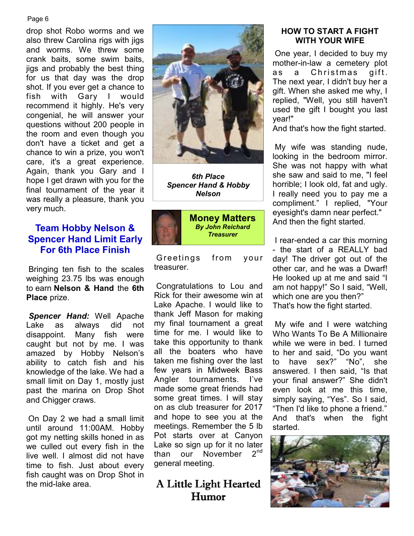#### Page 6

drop shot Robo worms and we also threw Carolina rigs with jigs and worms. We threw some crank baits, some swim baits, jigs and probably the best thing for us that day was the drop shot. If you ever get a chance to fish with Gary I would recommend it highly. He's very congenial, he will answer your questions without 200 people in the room and even though you don't have a ticket and get a chance to win a prize, you won't care, it's a great experience. Again, thank you Gary and I hope I get drawn with you for the final tournament of the year it was really a pleasure, thank you very much.

#### **Team Hobby Nelson & Spencer Hand Limit Early For 6th Place Finish**

 Bringing ten fish to the scales weighing 23.75 lbs was enough to earn **Nelson & Hand** the **6th Place** prize.

*Spencer Hand:* Well Apache Lake as always did not disappoint. Many fish were caught but not by me. I was amazed by Hobby Nelson's ability to catch fish and his knowledge of the lake. We had a small limit on Day 1, mostly just past the marina on Drop Shot and Chigger craws.

On Day 2 we had a small limit until around 11:00AM. Hobby got my netting skills honed in as we culled out every fish in the live well. I almost did not have time to fish. Just about every fish caught was on Drop Shot in the mid-lake area.



*6th Place Spencer Hand & Hobby Nelson* 



Greetings from your treasurer.

 Congratulations to Lou and Rick for their awesome win at Lake Apache. I would like to thank Jeff Mason for making my final tournament a great time for me. I would like to take this opportunity to thank all the boaters who have taken me fishing over the last few years in Midweek Bass Angler tournaments. I've made some great friends had some great times. I will stay on as club treasurer for 2017 and hope to see you at the meetings. Remember the 5 lb Pot starts over at Canyon Lake so sign up for it no later<br>than our November 2<sup>nd</sup> than our November general meeting.

A Little Light Hearted Humor

#### **HOW TO START A FIGHT WITH YOUR WIFE**

 One year, I decided to buy my mother-in-law a cemetery plot as a Christmas gift. The next year, I didn't buy her a gift. When she asked me why, I replied, "Well, you still haven't used the gift I bought you last year!"

And that's how the fight started.

 My wife was standing nude, looking in the bedroom mirror. She was not happy with what she saw and said to me, "I feel horrible; I look old, fat and ugly. I really need you to pay me a compliment." I replied, "Your eyesight's damn near perfect." And then the fight started.

 I rear-ended a car this morning - the start of a REALLY bad day! The driver got out of the other car, and he was a Dwarf! He looked up at me and said "I am not happy!" So I said, "Well, which one are you then?" That's how the fight started.

 My wife and I were watching Who Wants To Be A Millionaire while we were in bed. I turned to her and said, "Do you want to have sex?" "No", she answered. I then said, "Is that your final answer?" She didn't even look at me this time, simply saying, "Yes". So I said, "Then I'd like to phone a friend." And that's when the fight started.

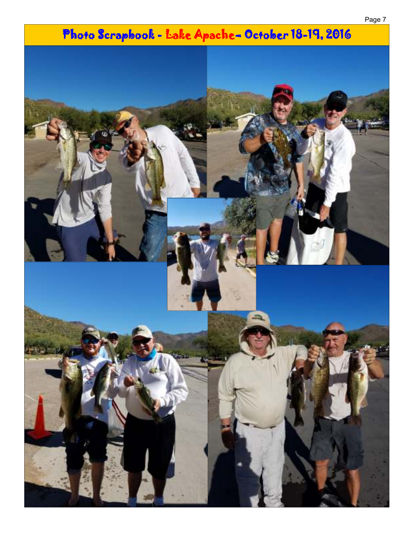